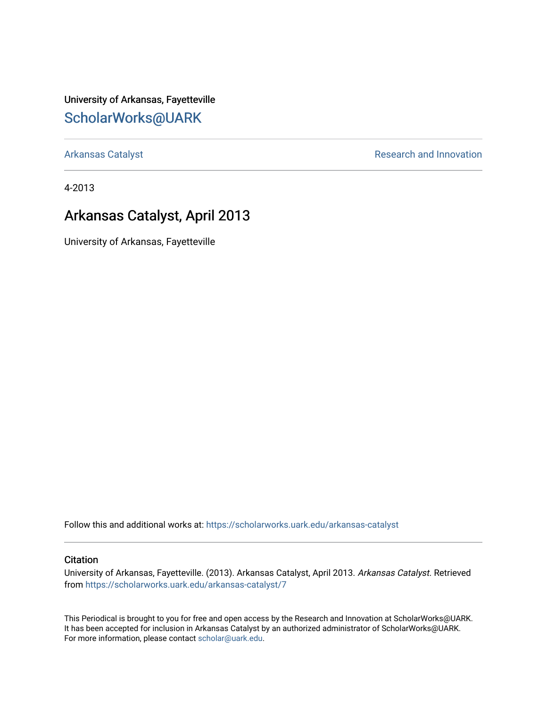University of Arkansas, Fayetteville [ScholarWorks@UARK](https://scholarworks.uark.edu/) 

[Arkansas Catalyst](https://scholarworks.uark.edu/arkansas-catalyst) **Research and Innovation** 

4-2013

### Arkansas Catalyst, April 2013

University of Arkansas, Fayetteville

Follow this and additional works at: [https://scholarworks.uark.edu/arkansas-catalyst](https://scholarworks.uark.edu/arkansas-catalyst?utm_source=scholarworks.uark.edu%2Farkansas-catalyst%2F7&utm_medium=PDF&utm_campaign=PDFCoverPages) 

#### **Citation**

University of Arkansas, Fayetteville. (2013). Arkansas Catalyst, April 2013. Arkansas Catalyst. Retrieved from [https://scholarworks.uark.edu/arkansas-catalyst/7](https://scholarworks.uark.edu/arkansas-catalyst/7?utm_source=scholarworks.uark.edu%2Farkansas-catalyst%2F7&utm_medium=PDF&utm_campaign=PDFCoverPages) 

This Periodical is brought to you for free and open access by the Research and Innovation at ScholarWorks@UARK. It has been accepted for inclusion in Arkansas Catalyst by an authorized administrator of ScholarWorks@UARK. For more information, please contact [scholar@uark.edu](mailto:scholar@uark.edu).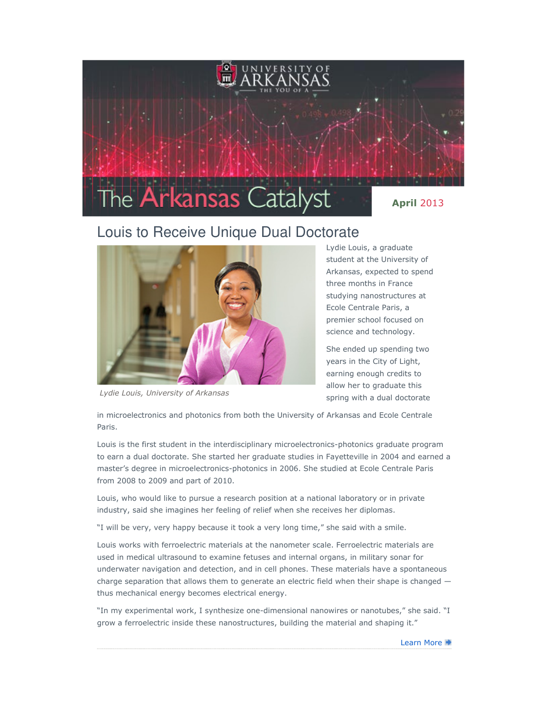

## Louis to Receive Unique Dual Doctorate



Lydie Louis, University of Arkansas

Lydie Louis, a graduate student at the University of Arkansas, expected to spend three months in France studying nanostructures at Ecole Centrale Paris, a premier school focused on science and technology.

She ended up spending two years in the City of Light, earning enough credits to allow her to graduate this spring with a dual doctorate

in microelectronics and photonics from both the University of Arkansas and Ecole Centrale Paris.

Louis is the first student in the interdisciplinary microelectronics-photonics graduate program to earn a dual doctorate. She started her graduate studies in Fayetteville in 2004 and earned a master's degree in microelectronics-photonics in 2006. She studied at Ecole Centrale Paris from 2008 to 2009 and part of 2010.

Louis, who would like to pursue a research position at a national laboratory or in private industry, said she imagines her feeling of relief when she receives her diplomas.

"I will be very, very happy because it took a very long time," she said with a smile.

Louis works with ferroelectric materials at the nanometer scale. Ferroelectric materials are used in medical ultrasound to examine fetuses and internal organs, in military sonar for underwater navigation and detection, and in cell phones. These materials have a spontaneous charge separation that allows them to generate an electric field when their shape is changed  $$ thus mechanical energy becomes electrical energy.

"In my experimental work, I synthesize one-dimensional nanowires or nanotubes," she said. "I grow a ferroelectric inside these nanostructures, building the material and shaping it."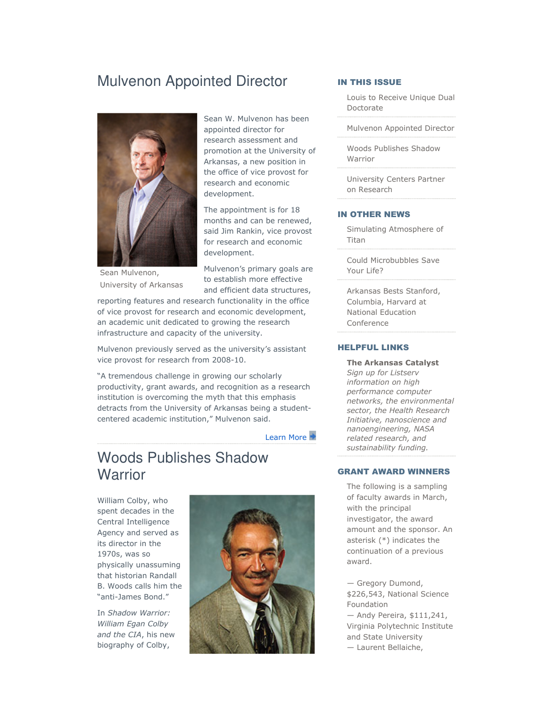## Mulvenon Appointed Director



Sean Mulvenon, University of Arkansas

Sean W. Mulvenon has been appointed director for research assessment and promotion at the University of Arkansas, a new position in the office of vice provost for research and economic development.

The appointment is for 18 months and can be renewed, said Jim Rankin, vice provost for research and economic development.

Mulvenon's primary goals are to establish more effective and efficient data structures,

reporting features and research functionality in the office of vice provost for research and economic development, an academic unit dedicated to growing the research infrastructure and capacity of the university.

Mulvenon previously served as the university's assistant vice provost for research from 2008-10.

"A tremendous challenge in growing our scholarly productivity, grant awards, and recognition as a research institution is overcoming the myth that this emphasis detracts from the University of Arkansas being a studentcentered academic institution," Mulvenon said.

Learn More

## Woods Publishes Shadow **Warrior**

William Colby, who spent decades in the Central Intelligence Agency and served as its director in the 1970s, was so physically unassuming that historian Randall B. Woods calls him the "anti-James Bond."

In Shadow Warrior: William Egan Colby and the CIA, his new biography of Colby,



#### IN THIS ISSUE

Louis to Receive Unique Dual Doctorate

Mulvenon Appointed Director

Woods Publishes Shadow Warrior

University Centers Partner on Research

#### IN OTHER NEWS

Simulating Atmosphere of Titan

Could Microbubbles Save Your Life?

Arkansas Bests Stanford, Columbia, Harvard at National Education Conference

#### HELPFUL LINKS

The Arkansas Catalyst Sign up for Listserv information on high performance computer networks, the environmental sector, the Health Research Initiative, nanoscience and nanoengineering, NASA related research, and sustainability funding.

#### GRANT AWARD WINNERS

The following is a sampling of faculty awards in March, with the principal investigator, the award amount and the sponsor. An asterisk (\*) indicates the continuation of a previous award.

— Gregory Dumond, \$226,543, National Science Foundation — Andy Pereira, \$111,241, Virginia Polytechnic Institute

and State University

— Laurent Bellaiche,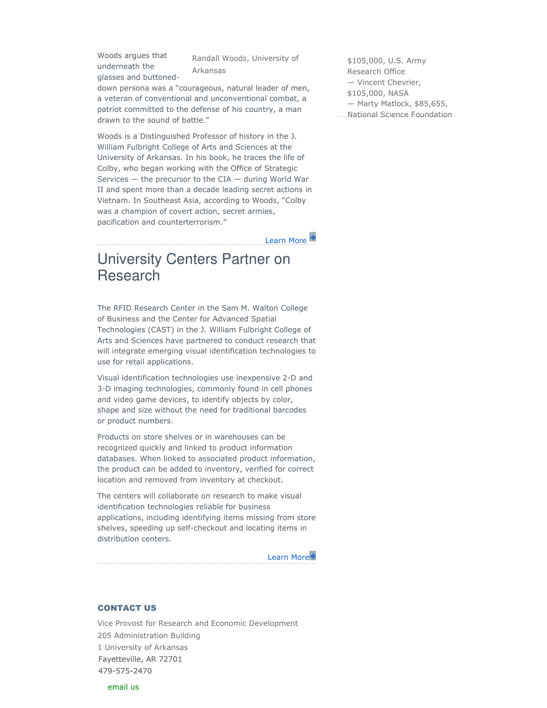Woods argues that underneath the glasses and buttoned-

Randall Woods, University of Arkansas

down persona was a "courageous, natural leader of men, a veteran of conventional and unconventional combat, a patriot committed to the defense of his country, a man drawn to the sound of battle."

Woods is a Distinguished Professor of history in the J. William Fulbright College of Arts and Sciences at the University of Arkansas. In his book, he traces the life of Colby, who began working with the Office of Strategic Services  $-$  the precursor to the CIA  $-$  during World War II and spent more than a decade leading secret actions in Vietnam. In Southeast Asia, according to Woods, "Colby was a champion of covert action, secret armies, pacification and counterterrorism."

Learn More

## University Centers Partner on Research

The RFID Research Center in the Sam M. Walton College of Business and the Center for Advanced Spatial Technologies (CAST) in the J. William Fulbright College of Arts and Sciences have partnered to conduct research that will integrate emerging visual identification technologies to use for retail applications.

Visual identification technologies use inexpensive 2-D and 3-D imaging technologies, commonly found in cell phones and video game devices, to identify objects by color, shape and size without the need for traditional barcodes or product numbers.

Products on store shelves or in warehouses can be recognized quickly and linked to product information databases. When linked to associated product information, the product can be added to inventory, verified for correct location and removed from inventory at checkout.

The centers will collaborate on research to make visual identification technologies reliable for business applications, including identifying items missing from store shelves, speeding up self-checkout and locating items in distribution centers.

Learn More

#### CONTACT US

Vice Provost for Research and Economic Development 205 Administration Building 1 University of Arkansas Fayetteville, AR 72701 479-575-2470

\$105,000, U.S. Army Research Office — Vincent Chevrier, \$105,000, NASA — Marty Matlock, \$85,655, National Science Foundation

email us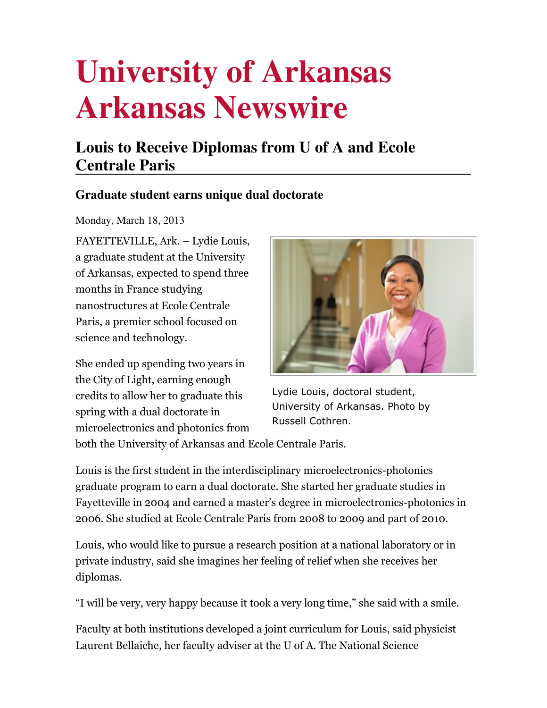# **Louis to Receive Diplomas from U of A and Ecole Centrale Paris**

### **Graduate student earns unique dual doctorate**

Monday, March 18, 2013

FAYETTEVILLE, Ark. – Lydie Louis, a graduate student at the University of Arkansas, expected to spend three months in France studying nanostructures at Ecole Centrale Paris, a premier school focused on science and technology.

She ended up spending two years in the City of Light, earning enough credits to allow her to graduate this spring with a dual doctorate in microelectronics and photonics from



Lydie Louis, doctoral student, University of Arkansas. Photo by Russell Cothren.

both the University of Arkansas and Ecole Centrale Paris.

Louis is the first student in the interdisciplinary microelectronics-photonics graduate program to earn a dual doctorate. She started her graduate studies in Fayetteville in 2004 and earned a master's degree in microelectronics-photonics in 2006. She studied at Ecole Centrale Paris from 2008 to 2009 and part of 2010.

Louis, who would like to pursue a research position at a national laboratory or in private industry, said she imagines her feeling of relief when she receives her diplomas.

"I will be very, very happy because it took a very long time," she said with a smile.

Faculty at both institutions developed a joint curriculum for Louis, said physicist Laurent Bellaiche, her faculty adviser at the U of A. The National Science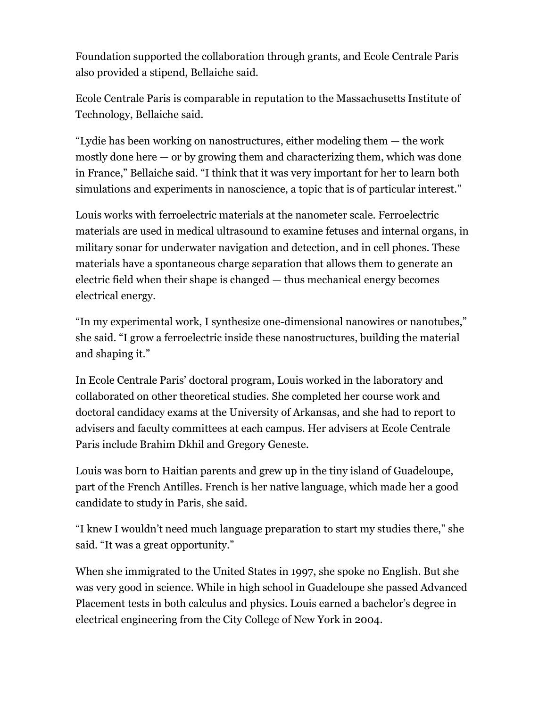Foundation supported the collaboration through grants, and Ecole Centrale Paris also provided a stipend, Bellaiche said.

Ecole Centrale Paris is comparable in reputation to the Massachusetts Institute of Technology, Bellaiche said.

"Lydie has been working on nanostructures, either modeling them — the work mostly done here  $-$  or by growing them and characterizing them, which was done in France," Bellaiche said. "I think that it was very important for her to learn both simulations and experiments in nanoscience, a topic that is of particular interest."

Louis works with ferroelectric materials at the nanometer scale. Ferroelectric materials are used in medical ultrasound to examine fetuses and internal organs, in military sonar for underwater navigation and detection, and in cell phones. These materials have a spontaneous charge separation that allows them to generate an electric field when their shape is changed — thus mechanical energy becomes electrical energy.

"In my experimental work, I synthesize one-dimensional nanowires or nanotubes," she said. "I grow a ferroelectric inside these nanostructures, building the material and shaping it."

In Ecole Centrale Paris' doctoral program, Louis worked in the laboratory and collaborated on other theoretical studies. She completed her course work and doctoral candidacy exams at the University of Arkansas, and she had to report to advisers and faculty committees at each campus. Her advisers at Ecole Centrale Paris include Brahim Dkhil and Gregory Geneste.

Louis was born to Haitian parents and grew up in the tiny island of Guadeloupe, part of the French Antilles. French is her native language, which made her a good candidate to study in Paris, she said.

"I knew I wouldn't need much language preparation to start my studies there," she said. "It was a great opportunity."

When she immigrated to the United States in 1997, she spoke no English. But she was very good in science. While in high school in Guadeloupe she passed Advanced Placement tests in both calculus and physics. Louis earned a bachelor's degree in electrical engineering from the City College of New York in 2004.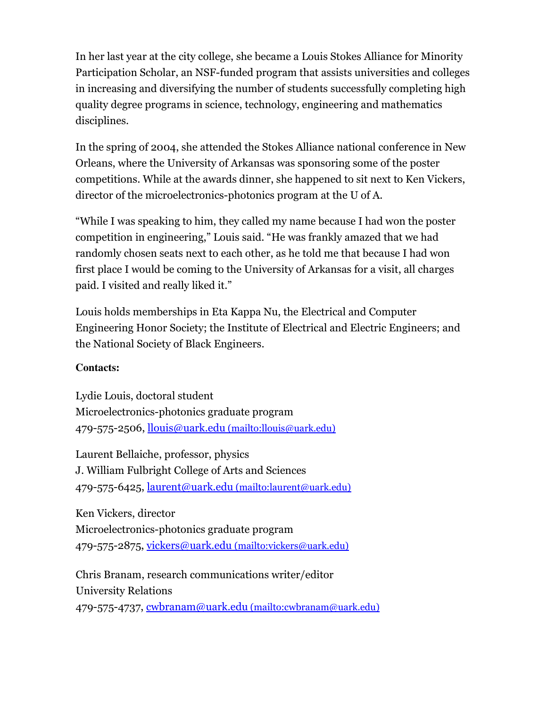In her last year at the city college, she became a Louis Stokes Alliance for Minority Participation Scholar, an NSF-funded program that assists universities and colleges in increasing and diversifying the number of students successfully completing high quality degree programs in science, technology, engineering and mathematics disciplines.

In the spring of 2004, she attended the Stokes Alliance national conference in New Orleans, where the University of Arkansas was sponsoring some of the poster competitions. While at the awards dinner, she happened to sit next to Ken Vickers, director of the microelectronics-photonics program at the U of A.

"While I was speaking to him, they called my name because I had won the poster competition in engineering," Louis said. "He was frankly amazed that we had randomly chosen seats next to each other, as he told me that because I had won first place I would be coming to the University of Arkansas for a visit, all charges paid. I visited and really liked it."

Louis holds memberships in Eta Kappa Nu, the Electrical and Computer Engineering Honor Society; the Institute of Electrical and Electric Engineers; and the National Society of Black Engineers.

#### **Contacts:**

Lydie Louis, doctoral student Microelectronics-photonics graduate program 479-575-2506, llouis@uark.edu (mailto:llouis@uark.edu)

Laurent Bellaiche, professor, physics J. William Fulbright College of Arts and Sciences 479-575-6425, laurent@uark.edu (mailto:laurent@uark.edu)

Ken Vickers, director Microelectronics-photonics graduate program 479-575-2875, vickers@uark.edu (mailto:vickers@uark.edu)

Chris Branam, research communications writer/editor University Relations 479-575-4737, cwbranam@uark.edu (mailto:cwbranam@uark.edu)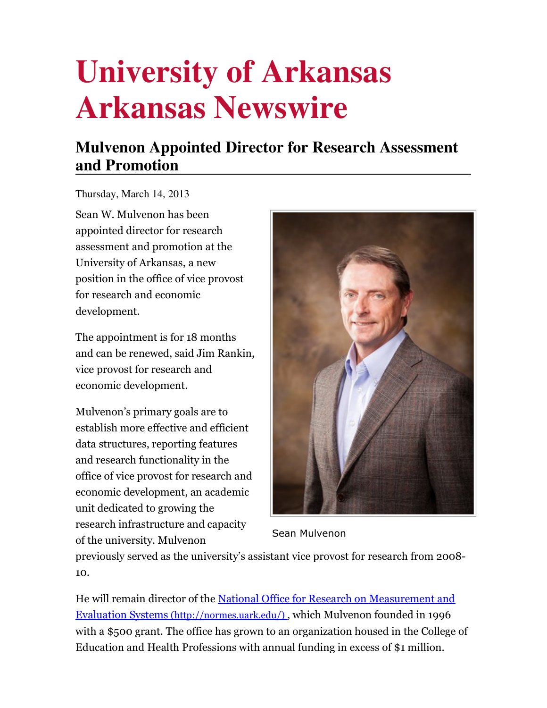# **Mulvenon Appointed Director for Research Assessment and Promotion**

Thursday, March 14, 2013

Sean W. Mulvenon has been appointed director for research assessment and promotion at the University of Arkansas, a new position in the office of vice provost for research and economic development.

The appointment is for 18 months and can be renewed, said Jim Rankin, vice provost for research and economic development.

Mulvenon's primary goals are to establish more effective and efficient data structures, reporting features and research functionality in the office of vice provost for research and economic development, an academic unit dedicated to growing the research infrastructure and capacity of the university. Mulvenon



Sean Mulvenon

previously served as the university's assistant vice provost for research from 2008- 10.

He will remain director of the National Office for Research on Measurement and Evaluation Systems (http://normes.uark.edu/) , which Mulvenon founded in 1996 with a \$500 grant. The office has grown to an organization housed in the College of Education and Health Professions with annual funding in excess of \$1 million.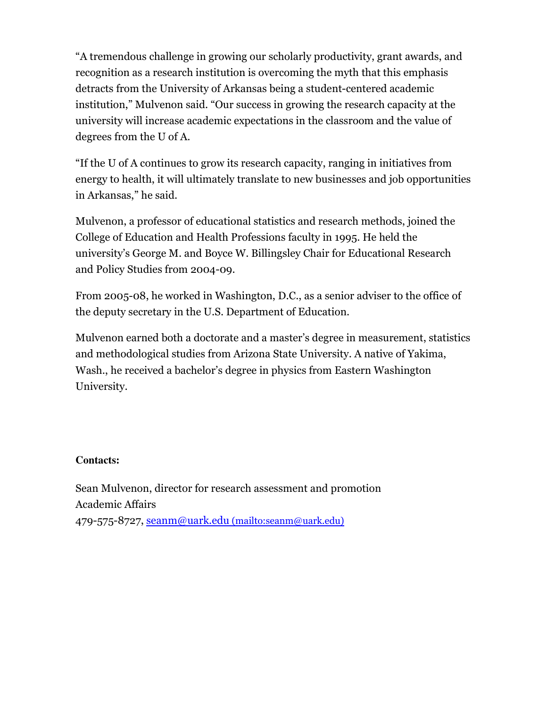"A tremendous challenge in growing our scholarly productivity, grant awards, and recognition as a research institution is overcoming the myth that this emphasis detracts from the University of Arkansas being a student-centered academic institution," Mulvenon said. "Our success in growing the research capacity at the university will increase academic expectations in the classroom and the value of degrees from the U of A.

"If the U of A continues to grow its research capacity, ranging in initiatives from energy to health, it will ultimately translate to new businesses and job opportunities in Arkansas," he said.

Mulvenon, a professor of educational statistics and research methods, joined the College of Education and Health Professions faculty in 1995. He held the university's George M. and Boyce W. Billingsley Chair for Educational Research and Policy Studies from 2004-09.

From 2005-08, he worked in Washington, D.C., as a senior adviser to the office of the deputy secretary in the U.S. Department of Education.

Mulvenon earned both a doctorate and a master's degree in measurement, statistics and methodological studies from Arizona State University. A native of Yakima, Wash., he received a bachelor's degree in physics from Eastern Washington University.

#### **Contacts:**

Sean Mulvenon, director for research assessment and promotion Academic Affairs 479-575-8727, seanm@uark.edu (mailto:seanm@uark.edu)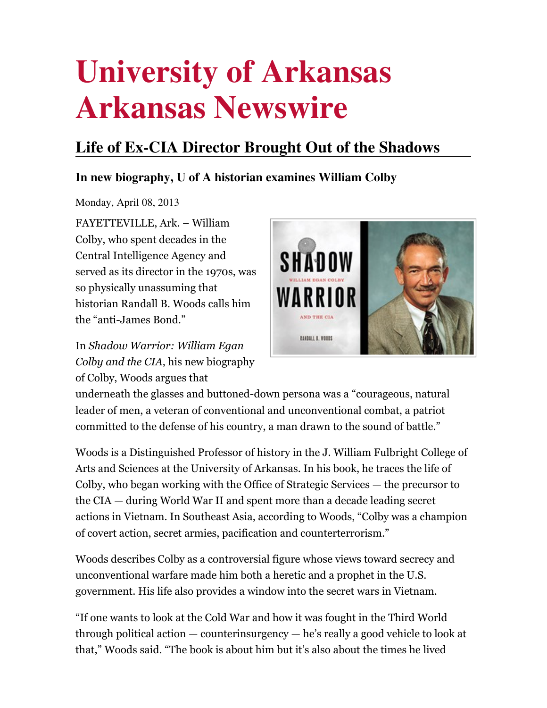# **Life of Ex-CIA Director Brought Out of the Shadows**

### **In new biography, U of A historian examines William Colby**

Monday, April 08, 2013

FAYETTEVILLE, Ark. – William Colby, who spent decades in the Central Intelligence Agency and served as its director in the 1970s, was so physically unassuming that historian Randall B. Woods calls him the "anti-James Bond."

In Shadow Warrior: William Egan Colby and the CIA, his new biography of Colby, Woods argues that



underneath the glasses and buttoned-down persona was a "courageous, natural leader of men, a veteran of conventional and unconventional combat, a patriot committed to the defense of his country, a man drawn to the sound of battle."

Woods is a Distinguished Professor of history in the J. William Fulbright College of Arts and Sciences at the University of Arkansas. In his book, he traces the life of Colby, who began working with the Office of Strategic Services — the precursor to the CIA — during World War II and spent more than a decade leading secret actions in Vietnam. In Southeast Asia, according to Woods, "Colby was a champion of covert action, secret armies, pacification and counterterrorism."

Woods describes Colby as a controversial figure whose views toward secrecy and unconventional warfare made him both a heretic and a prophet in the U.S. government. His life also provides a window into the secret wars in Vietnam.

"If one wants to look at the Cold War and how it was fought in the Third World through political action — counterinsurgency — he's really a good vehicle to look at that," Woods said. "The book is about him but it's also about the times he lived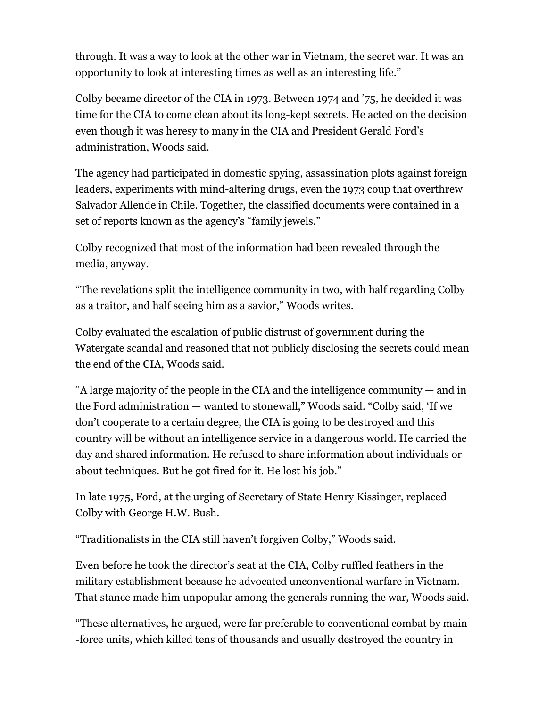through. It was a way to look at the other war in Vietnam, the secret war. It was an opportunity to look at interesting times as well as an interesting life."

Colby became director of the CIA in 1973. Between 1974 and '75, he decided it was time for the CIA to come clean about its long-kept secrets. He acted on the decision even though it was heresy to many in the CIA and President Gerald Ford's administration, Woods said.

The agency had participated in domestic spying, assassination plots against foreign leaders, experiments with mind-altering drugs, even the 1973 coup that overthrew Salvador Allende in Chile. Together, the classified documents were contained in a set of reports known as the agency's "family jewels."

Colby recognized that most of the information had been revealed through the media, anyway.

"The revelations split the intelligence community in two, with half regarding Colby as a traitor, and half seeing him as a savior," Woods writes.

Colby evaluated the escalation of public distrust of government during the Watergate scandal and reasoned that not publicly disclosing the secrets could mean the end of the CIA, Woods said.

"A large majority of the people in the CIA and the intelligence community — and in the Ford administration — wanted to stonewall," Woods said. "Colby said, 'If we don't cooperate to a certain degree, the CIA is going to be destroyed and this country will be without an intelligence service in a dangerous world. He carried the day and shared information. He refused to share information about individuals or about techniques. But he got fired for it. He lost his job."

In late 1975, Ford, at the urging of Secretary of State Henry Kissinger, replaced Colby with George H.W. Bush.

"Traditionalists in the CIA still haven't forgiven Colby," Woods said.

Even before he took the director's seat at the CIA, Colby ruffled feathers in the military establishment because he advocated unconventional warfare in Vietnam. That stance made him unpopular among the generals running the war, Woods said.

"These alternatives, he argued, were far preferable to conventional combat by main -force units, which killed tens of thousands and usually destroyed the country in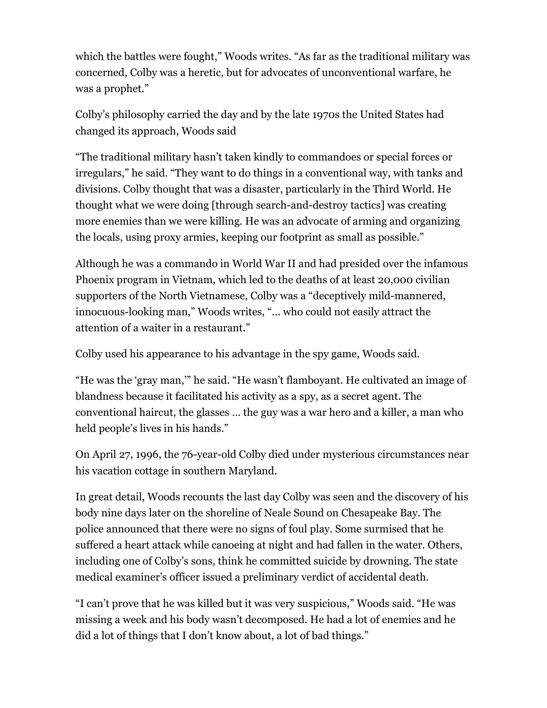which the battles were fought," Woods writes. "As far as the traditional military was concerned, Colby was a heretic, but for advocates of unconventional warfare, he was a prophet."

Colby's philosophy carried the day and by the late 1970s the United States had changed its approach, Woods said

"The traditional military hasn't taken kindly to commandoes or special forces or irregulars," he said. "They want to do things in a conventional way, with tanks and divisions. Colby thought that was a disaster, particularly in the Third World. He thought what we were doing [through search-and-destroy tactics] was creating more enemies than we were killing. He was an advocate of arming and organizing the locals, using proxy armies, keeping our footprint as small as possible."

Although he was a commando in World War II and had presided over the infamous Phoenix program in Vietnam, which led to the deaths of at least 20,000 civilian supporters of the North Vietnamese, Colby was a "deceptively mild-mannered, innocuous-looking man," Woods writes, "... who could not easily attract the attention of a waiter in a restaurant."

Colby used his appearance to his advantage in the spy game, Woods said.

"He was the 'gray man,'" he said. "He wasn't flamboyant. He cultivated an image of blandness because it facilitated his activity as a spy, as a secret agent. The conventional haircut, the glasses … the guy was a war hero and a killer, a man who held people's lives in his hands."

On April 27, 1996, the 76-year-old Colby died under mysterious circumstances near his vacation cottage in southern Maryland.

In great detail, Woods recounts the last day Colby was seen and the discovery of his body nine days later on the shoreline of Neale Sound on Chesapeake Bay. The police announced that there were no signs of foul play. Some surmised that he suffered a heart attack while canoeing at night and had fallen in the water. Others, including one of Colby's sons, think he committed suicide by drowning. The state medical examiner's officer issued a preliminary verdict of accidental death.

"I can't prove that he was killed but it was very suspicious," Woods said. "He was missing a week and his body wasn't decomposed. He had a lot of enemies and he did a lot of things that I don't know about, a lot of bad things."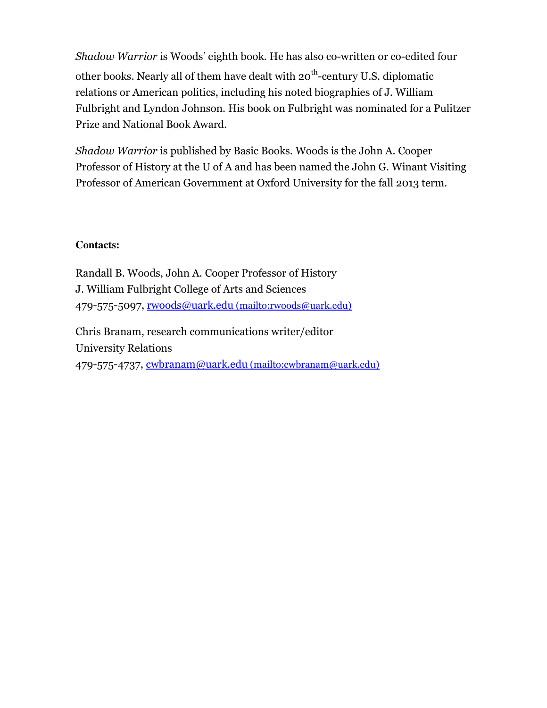Shadow Warrior is Woods' eighth book. He has also co-written or co-edited four other books. Nearly all of them have dealt with 20<sup>th</sup>-century U.S. diplomatic relations or American politics, including his noted biographies of J. William Fulbright and Lyndon Johnson. His book on Fulbright was nominated for a Pulitzer Prize and National Book Award.

Shadow Warrior is published by Basic Books. Woods is the John A. Cooper Professor of History at the U of A and has been named the John G. Winant Visiting Professor of American Government at Oxford University for the fall 2013 term.

#### **Contacts:**

Randall B. Woods, John A. Cooper Professor of History J. William Fulbright College of Arts and Sciences 479-575-5097, rwoods@uark.edu (mailto:rwoods@uark.edu)

Chris Branam, research communications writer/editor University Relations 479-575-4737, cwbranam@uark.edu (mailto:cwbranam@uark.edu)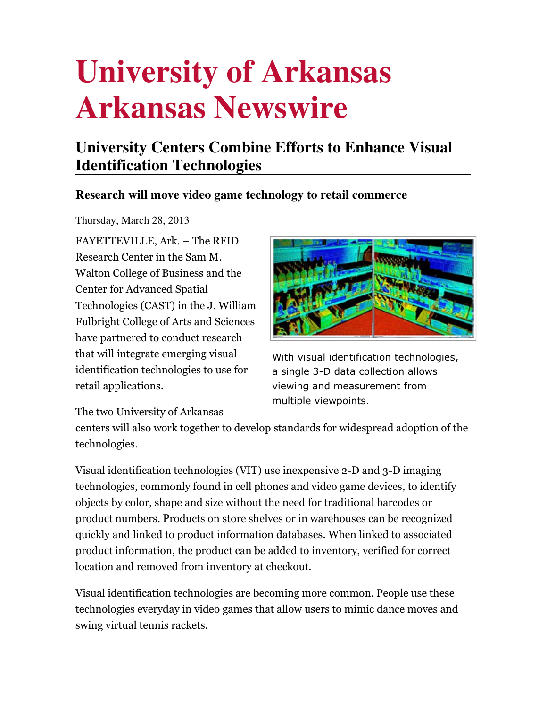## **University Centers Combine Efforts to Enhance Visual Identification Technologies**

### **Research will move video game technology to retail commerce**

Thursday, March 28, 2013

FAYETTEVILLE, Ark. – The RFID Research Center in the Sam M. Walton College of Business and the Center for Advanced Spatial Technologies (CAST) in the J. William Fulbright College of Arts and Sciences have partnered to conduct research that will integrate emerging visual identification technologies to use for retail applications.



With visual identification technologies, a single 3-D data collection allows viewing and measurement from multiple viewpoints.

The two University of Arkansas

centers will also work together to develop standards for widespread adoption of the technologies.

Visual identification technologies (VIT) use inexpensive 2-D and 3-D imaging technologies, commonly found in cell phones and video game devices, to identify objects by color, shape and size without the need for traditional barcodes or product numbers. Products on store shelves or in warehouses can be recognized quickly and linked to product information databases. When linked to associated product information, the product can be added to inventory, verified for correct location and removed from inventory at checkout.

Visual identification technologies are becoming more common. People use these technologies everyday in video games that allow users to mimic dance moves and swing virtual tennis rackets.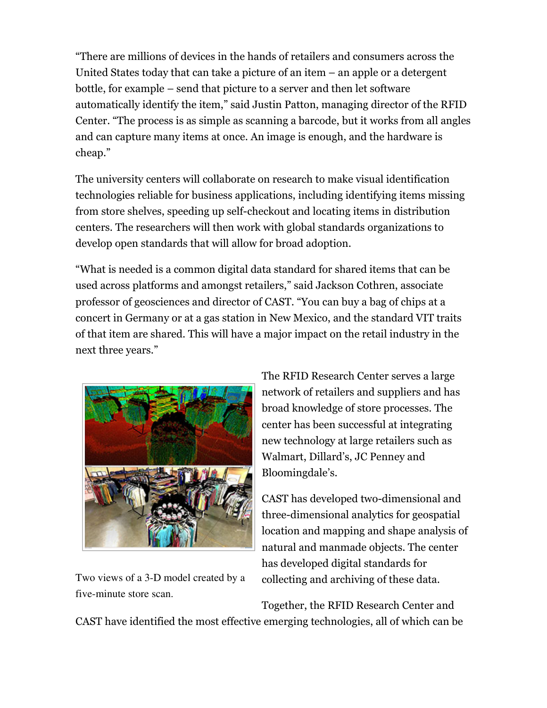"There are millions of devices in the hands of retailers and consumers across the United States today that can take a picture of an item – an apple or a detergent bottle, for example – send that picture to a server and then let software automatically identify the item," said Justin Patton, managing director of the RFID Center. "The process is as simple as scanning a barcode, but it works from all angles and can capture many items at once. An image is enough, and the hardware is cheap."

The university centers will collaborate on research to make visual identification technologies reliable for business applications, including identifying items missing from store shelves, speeding up self-checkout and locating items in distribution centers. The researchers will then work with global standards organizations to develop open standards that will allow for broad adoption.

"What is needed is a common digital data standard for shared items that can be used across platforms and amongst retailers," said Jackson Cothren, associate professor of geosciences and director of CAST. "You can buy a bag of chips at a concert in Germany or at a gas station in New Mexico, and the standard VIT traits of that item are shared. This will have a major impact on the retail industry in the next three years."



Two views of a 3-D model created by a five-minute store scan.

The RFID Research Center serves a large network of retailers and suppliers and has broad knowledge of store processes. The center has been successful at integrating new technology at large retailers such as Walmart, Dillard's, JC Penney and Bloomingdale's.

CAST has developed two-dimensional and three-dimensional analytics for geospatial location and mapping and shape analysis of natural and manmade objects. The center has developed digital standards for collecting and archiving of these data.

Together, the RFID Research Center and

CAST have identified the most effective emerging technologies, all of which can be